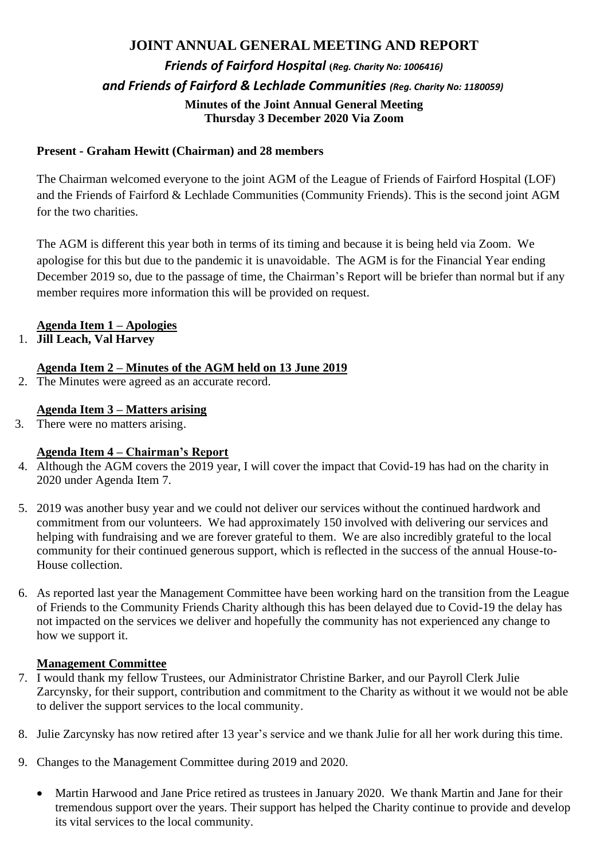# **JOINT ANNUAL GENERAL MEETING AND REPORT** *Friends of Fairford Hospital* **(***Reg. Charity No: 1006416) and Friends of Fairford & Lechlade Communities (Reg. Charity No: 1180059)*  **Minutes of the Joint Annual General Meeting Thursday 3 December 2020 Via Zoom**

### **Prese Present - Graham Hewitt (Chairman) and 28 members**

The Chairman welcomed everyone to the joint AGM of the League of Friends of Fairford Hospital (LOF) and the Friends of Fairford & Lechlade Communities (Community Friends). This is the second joint AGM for the two charities.

The AGM is different this year both in terms of its timing and because it is being held via Zoom. We apologise for this but due to the pandemic it is unavoidable. The AGM is for the Financial Year ending December 2019 so, due to the passage of time, the Chairman's Report will be briefer than normal but if any member requires more information this will be provided on request.

#### **Agenda Item 1 – Apologies**

#### 1. **Jill Leach, Val Harvey**

### **Agenda Item 2 – Minutes of the AGM held on 13 June 2019**

2. The Minutes were agreed as an accurate record.

#### **Agenda Item 3 – Matters arising**

3. There were no matters arising.

#### **Agenda Item 4 – Chairman's Report**

- 4. Although the AGM covers the 2019 year, I will cover the impact that Covid-19 has had on the charity in 2020 under Agenda Item 7.
- 5. 2019 was another busy year and we could not deliver our services without the continued hardwork and commitment from our volunteers. We had approximately 150 involved with delivering our services and helping with fundraising and we are forever grateful to them. We are also incredibly grateful to the local community for their continued generous support, which is reflected in the success of the annual House-to-House collection.
- 6. As reported last year the Management Committee have been working hard on the transition from the League of Friends to the Community Friends Charity although this has been delayed due to Covid-19 the delay has not impacted on the services we deliver and hopefully the community has not experienced any change to how we support it.

#### **Management Committee**

- 7. I would thank my fellow Trustees, our Administrator Christine Barker, and our Payroll Clerk Julie Zarcynsky, for their support, contribution and commitment to the Charity as without it we would not be able to deliver the support services to the local community.
- 8. Julie Zarcynsky has now retired after 13 year's service and we thank Julie for all her work during this time.
- 9. Changes to the Management Committee during 2019 and 2020.
	- Martin Harwood and Jane Price retired as trustees in January 2020. We thank Martin and Jane for their tremendous support over the years. Their support has helped the Charity continue to provide and develop its vital services to the local community.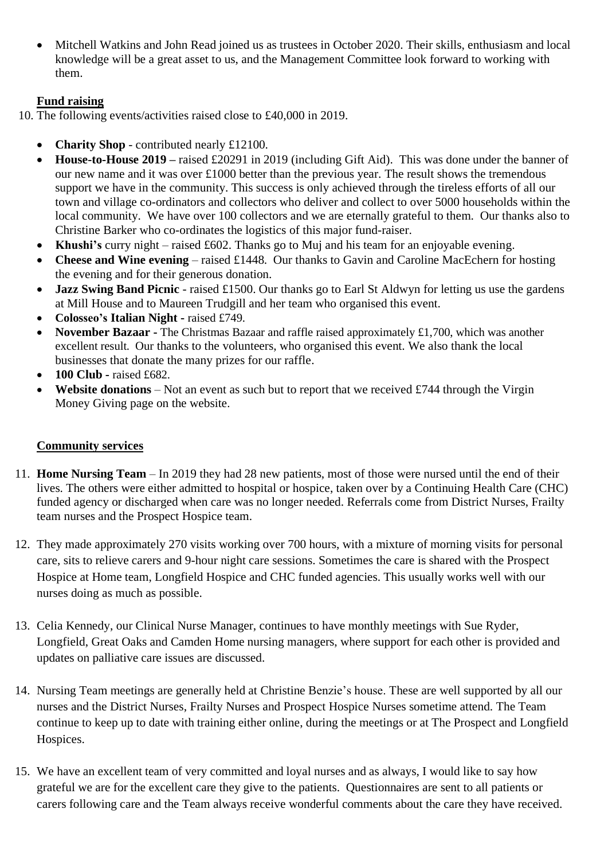• Mitchell Watkins and John Read joined us as trustees in October 2020. Their skills, enthusiasm and local knowledge will be a great asset to us, and the Management Committee look forward to working with them.

# **Fund raising**

- 10. The following events/activities raised close to £40,000 in 2019.
	- **Charity Shop** contributed nearly £12100.
	- **House-to-House 2019 –** raised £20291 in 2019 (including Gift Aid). This was done under the banner of our new name and it was over £1000 better than the previous year. The result shows the tremendous support we have in the community. This success is only achieved through the tireless efforts of all our town and village co-ordinators and collectors who deliver and collect to over 5000 households within the local community. We have over 100 collectors and we are eternally grateful to them. Our thanks also to Christine Barker who co-ordinates the logistics of this major fund-raiser.
	- **Khushi's** curry night raised £602. Thanks go to Muj and his team for an enjoyable evening.
	- **Cheese and Wine evening** raised £1448. Our thanks to Gavin and Caroline MacEchern for hosting the evening and for their generous donation.
	- **Jazz Swing Band Picnic** raised £1500. Our thanks go to Earl St Aldwyn for letting us use the gardens at Mill House and to Maureen Trudgill and her team who organised this event.
	- **Colosseo's Italian Night -** raised £749.
	- **November Bazaar -** The Christmas Bazaar and raffle raised approximately £1,700, which was another excellent result. Our thanks to the volunteers, who organised this event. We also thank the local businesses that donate the many prizes for our raffle.
	- **100 Club -** raised £682.
	- **Website donations** Not an event as such but to report that we received £744 through the Virgin Money Giving page on the website.

### **Community services**

- 11. **Home Nursing Team** In 2019 they had 28 new patients, most of those were nursed until the end of their lives. The others were either admitted to hospital or hospice, taken over by a Continuing Health Care (CHC) funded agency or discharged when care was no longer needed. Referrals come from District Nurses, Frailty team nurses and the Prospect Hospice team.
- 12. They made approximately 270 visits working over 700 hours, with a mixture of morning visits for personal care, sits to relieve carers and 9-hour night care sessions. Sometimes the care is shared with the Prospect Hospice at Home team, Longfield Hospice and CHC funded agencies. This usually works well with our nurses doing as much as possible.
- 13. Celia Kennedy, our Clinical Nurse Manager, continues to have monthly meetings with Sue Ryder, Longfield, Great Oaks and Camden Home nursing managers, where support for each other is provided and updates on palliative care issues are discussed.
- 14. Nursing Team meetings are generally held at Christine Benzie's house. These are well supported by all our nurses and the District Nurses, Frailty Nurses and Prospect Hospice Nurses sometime attend. The Team continue to keep up to date with training either online, during the meetings or at The Prospect and Longfield Hospices.
- 15. We have an excellent team of very committed and loyal nurses and as always, I would like to say how grateful we are for the excellent care they give to the patients. Questionnaires are sent to all patients or carers following care and the Team always receive wonderful comments about the care they have received.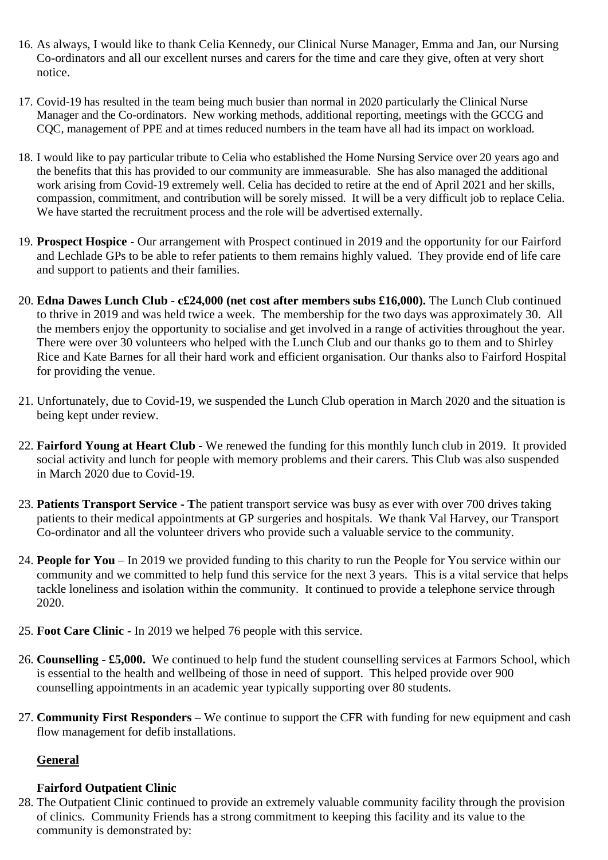- 16. As always, I would like to thank Celia Kennedy, our Clinical Nurse Manager, Emma and Jan, our Nursing Co-ordinators and all our excellent nurses and carers for the time and care they give, often at very short notice.
- 17. Covid-19 has resulted in the team being much busier than normal in 2020 particularly the Clinical Nurse Manager and the Co-ordinators. New working methods, additional reporting, meetings with the GCCG and CQC, management of PPE and at times reduced numbers in the team have all had its impact on workload.
- 18. I would like to pay particular tribute to Celia who established the Home Nursing Service over 20 years ago and the benefits that this has provided to our community are immeasurable. She has also managed the additional work arising from Covid-19 extremely well. Celia has decided to retire at the end of April 2021 and her skills, compassion, commitment, and contribution will be sorely missed. It will be a very difficult job to replace Celia. We have started the recruitment process and the role will be advertised externally.
- 19. **Prospect Hospice -** Our arrangement with Prospect continued in 2019 and the opportunity for our Fairford and Lechlade GPs to be able to refer patients to them remains highly valued. They provide end of life care and support to patients and their families.
- 20. **Edna Dawes Lunch Club - c£24,000 (net cost after members subs £16,000).** The Lunch Club continued to thrive in 2019 and was held twice a week. The membership for the two days was approximately 30. All the members enjoy the opportunity to socialise and get involved in a range of activities throughout the year. There were over 30 volunteers who helped with the Lunch Club and our thanks go to them and to Shirley Rice and Kate Barnes for all their hard work and efficient organisation. Our thanks also to Fairford Hospital for providing the venue.
- 21. Unfortunately, due to Covid-19, we suspended the Lunch Club operation in March 2020 and the situation is being kept under review.
- 22. **Fairford Young at Heart Club -** We renewed the funding for this monthly lunch club in 2019. It provided social activity and lunch for people with memory problems and their carers. This Club was also suspended in March 2020 due to Covid-19.
- 23. **Patients Transport Service - T**he patient transport service was busy as ever with over 700 drives taking patients to their medical appointments at GP surgeries and hospitals. We thank Val Harvey, our Transport Co-ordinator and all the volunteer drivers who provide such a valuable service to the community.
- 24. **People for You** In 2019 we provided funding to this charity to run the People for You service within our community and we committed to help fund this service for the next 3 years. This is a vital service that helps tackle loneliness and isolation within the community. It continued to provide a telephone service through 2020.
- 25. **Foot Care Clinic** In 2019 we helped 76 people with this service.
- 26. **Counselling - £5,000.** We continued to help fund the student counselling services at Farmors School, which is essential to the health and wellbeing of those in need of support. This helped provide over 900 counselling appointments in an academic year typically supporting over 80 students.
- 27. **Community First Responders –** We continue to support the CFR with funding for new equipment and cash flow management for defib installations.

### **General**

### **Fairford Outpatient Clinic**

28. The Outpatient Clinic continued to provide an extremely valuable community facility through the provision of clinics. Community Friends has a strong commitment to keeping this facility and its value to the community is demonstrated by: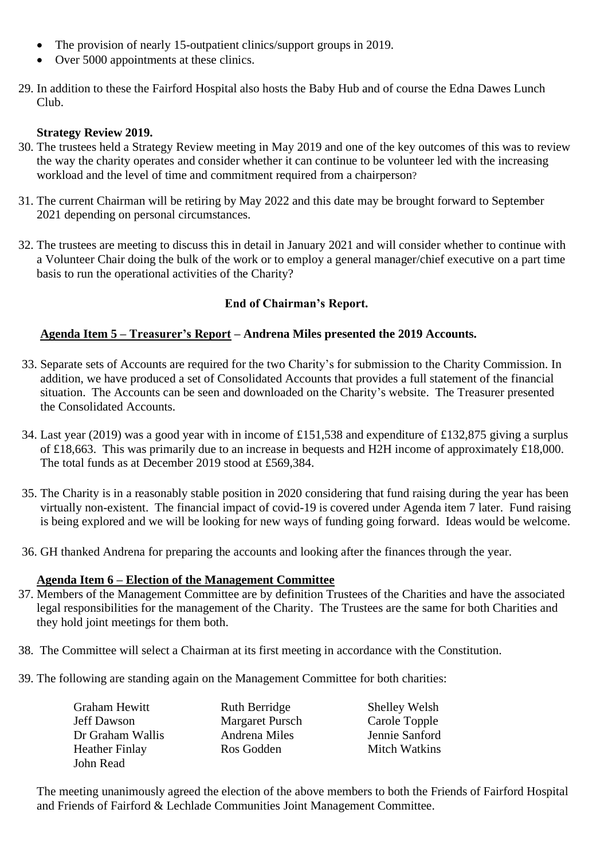- The provision of nearly 15-outpatient clinics/support groups in 2019.
- Over 5000 appointments at these clinics.
- 29. In addition to these the Fairford Hospital also hosts the Baby Hub and of course the Edna Dawes Lunch Club.

#### **Strategy Review 2019.**

- 30. The trustees held a Strategy Review meeting in May 2019 and one of the key outcomes of this was to review the way the charity operates and consider whether it can continue to be volunteer led with the increasing workload and the level of time and commitment required from a chairperson?
- 31. The current Chairman will be retiring by May 2022 and this date may be brought forward to September 2021 depending on personal circumstances.
- 32. The trustees are meeting to discuss this in detail in January 2021 and will consider whether to continue with a Volunteer Chair doing the bulk of the work or to employ a general manager/chief executive on a part time basis to run the operational activities of the Charity?

### **End of Chairman's Report.**

### **Agenda Item 5 – Treasurer's Report – Andrena Miles presented the 2019 Accounts.**

- 33. Separate sets of Accounts are required for the two Charity's for submission to the Charity Commission. In addition, we have produced a set of Consolidated Accounts that provides a full statement of the financial situation. The Accounts can be seen and downloaded on the Charity's website. The Treasurer presented the Consolidated Accounts.
- 34. Last year (2019) was a good year with in income of £151,538 and expenditure of £132,875 giving a surplus of £18,663. This was primarily due to an increase in bequests and H2H income of approximately £18,000. The total funds as at December 2019 stood at £569,384.
- 35. The Charity is in a reasonably stable position in 2020 considering that fund raising during the year has been virtually non-existent. The financial impact of covid-19 is covered under Agenda item 7 later. Fund raising is being explored and we will be looking for new ways of funding going forward. Ideas would be welcome.
- 36. GH thanked Andrena for preparing the accounts and looking after the finances through the year.

#### **Agenda Item 6 – Election of the Management Committee**

- 37. Members of the Management Committee are by definition Trustees of the Charities and have the associated legal responsibilities for the management of the Charity. The Trustees are the same for both Charities and they hold joint meetings for them both.
- 38. The Committee will select a Chairman at its first meeting in accordance with the Constitution.
- 39. The following are standing again on the Management Committee for both charities:

| Graham Hewitt    | <b>Ruth Berridge</b>   | <b>Shelley Welsh</b> |
|------------------|------------------------|----------------------|
| Jeff Dawson      | <b>Margaret Pursch</b> | Carole Topple        |
| Dr Graham Wallis | Andrena Miles          | Jennie Sanford       |
| Heather Finlay   | Ros Godden             | <b>Mitch Watkins</b> |
| John Read        |                        |                      |

The meeting unanimously agreed the election of the above members to both the Friends of Fairford Hospital and Friends of Fairford & Lechlade Communities Joint Management Committee.